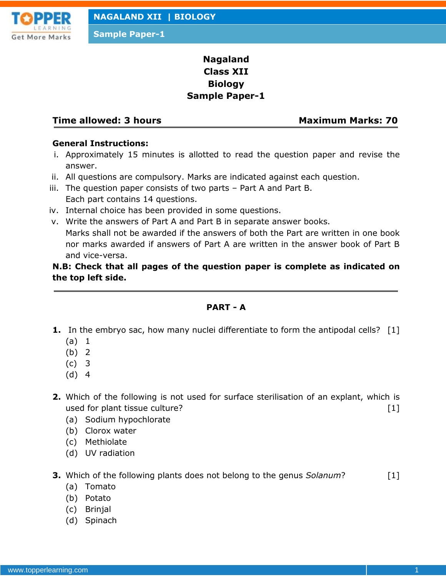

**Sample Paper-1**

# **Nagaland Class XII Biology Sample Paper-1**

#### **Time allowed: 3 hours Maximum Marks: 70**

#### **General Instructions:**

- i. Approximately 15 minutes is allotted to read the question paper and revise the answer.
- ii. All questions are compulsory. Marks are indicated against each question.
- iii. The question paper consists of two parts Part A and Part B. Each part contains 14 questions.
- iv. Internal choice has been provided in some questions.
- v. Write the answers of Part A and Part B in separate answer books. Marks shall not be awarded if the answers of both the Part are written in one book nor marks awarded if answers of Part A are written in the answer book of Part B and vice-versa.

## **N.B: Check that all pages of the question paper is complete as indicated on the top left side.**

#### **PART - A**

- **1.** In the embryo sac, how many nuclei differentiate to form the antipodal cells? [1]
	- (a) 1
	- (b) 2
	- (c) 3
	- (d) 4
- **2.** Which of the following is not used for surface sterilisation of an explant, which is used for plant tissue culture? [1]
	- (a) Sodium hypochlorate
	- (b) Clorox water
	- (c) Methiolate
	- (d) UV radiation
- **3.** Which of the following plants does not belong to the genus *Solanum*? [1]
	- (a) Tomato
	- (b) Potato
	- (c) Brinjal
	- (d) Spinach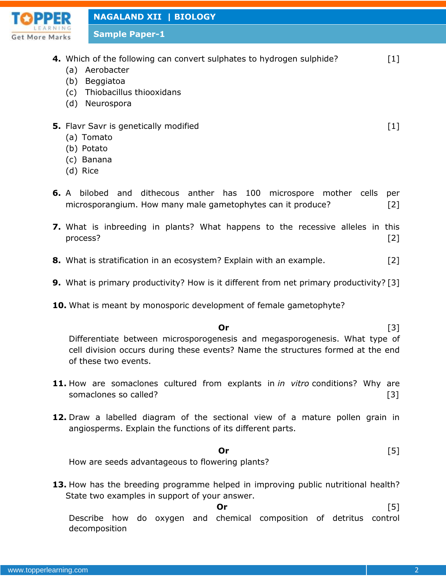

**Sample Paper-1**

- **4.** Which of the following can convert sulphates to hydrogen sulphide? [1]
	- (a) Aerobacter
	- (b) Beggiatoa
	- (c) Thiobacillus thiooxidans
	- (d) Neurospora
- **5.** Flavr Savr is genetically modified **EXALL EXACUTE:**  $[1]$ 
	- (a) Tomato
	- (b) Potato
	- (c) Banana
	- (d) Rice
- **6.** A bilobed and dithecous anther has 100 microspore mother cells per microsporangium. How many male gametophytes can it produce? [2]
- **7.** What is inbreeding in plants? What happens to the recessive alleles in this process? [2]
- **8.** What is stratification in an ecosystem? Explain with an example. [2]
- **9.** What is primary productivity? How is it different from net primary productivity? [3]
- **10.** What is meant by monosporic development of female gametophyte?

**Or** [3] Differentiate between microsporogenesis and megasporogenesis. What type of cell division occurs during these events? Name the structures formed at the end of these two events.

- **11.** How are somaclones cultured from explants in *in vitro* conditions? Why are somaclones so called? [3]
- **12.** Draw a labelled diagram of the sectional view of a mature pollen grain in angiosperms. Explain the functions of its different parts.

### **Or** [5]

How are seeds advantageous to flowering plants?

**13.** How has the breeding programme helped in improving public nutritional health? State two examples in support of your answer.

**Or** [5]

Describe how do oxygen and chemical composition of detritus control decomposition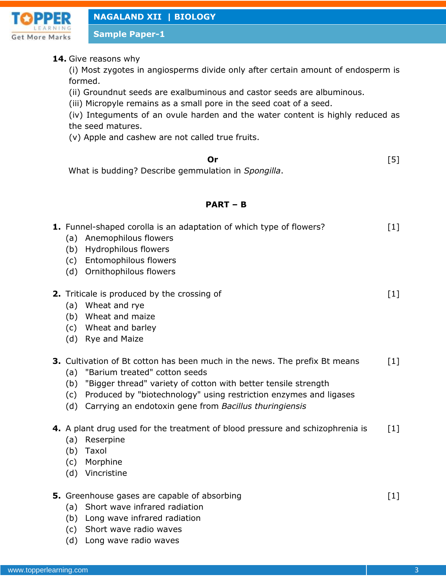

**Sample Paper-1**

### **14.** Give reasons why

(i) Most zygotes in angiosperms divide only after certain amount of endosperm is formed.

(ii) Groundnut seeds are exalbuminous and castor seeds are albuminous.

(iii) Micropyle remains as a small pore in the seed coat of a seed.

(iv) Integuments of an ovule harden and the water content is highly reduced as the seed matures.

(v) Apple and cashew are not called true fruits.

**Or** [5]

What is budding? Describe gemmulation in *Spongilla*.

## **PART – B**

| (a)                      | 1. Funnel-shaped corolla is an adaptation of which type of flowers?<br>Anemophilous flowers<br>(b) Hydrophilous flowers<br>(c) Entomophilous flowers<br>(d) Ornithophilous flowers                                                                                                                           | $[1]$             |
|--------------------------|--------------------------------------------------------------------------------------------------------------------------------------------------------------------------------------------------------------------------------------------------------------------------------------------------------------|-------------------|
|                          | 2. Triticale is produced by the crossing of<br>(a) Wheat and rye<br>(b) Wheat and maize<br>(c) Wheat and barley<br>(d) Rye and Maize                                                                                                                                                                         | $[1]$             |
| (a)<br>(b)<br>(c)<br>(d) | 3. Cultivation of Bt cotton has been much in the news. The prefix Bt means<br>"Barium treated" cotton seeds<br>"Bigger thread" variety of cotton with better tensile strength<br>Produced by "biotechnology" using restriction enzymes and ligases<br>Carrying an endotoxin gene from Bacillus thuringiensis | $[1]$             |
| (a)<br>(c)<br>(d)        | 4. A plant drug used for the treatment of blood pressure and schizophrenia is<br>Reserpine<br>(b) Taxol<br>Morphine<br>Vincristine                                                                                                                                                                           | $\lceil 1 \rceil$ |
| (a)<br>(c)               | 5. Greenhouse gases are capable of absorbing<br>Short wave infrared radiation<br>(b) Long wave infrared radiation<br>Short wave radio waves                                                                                                                                                                  | $[1]$             |

(d) Long wave radio waves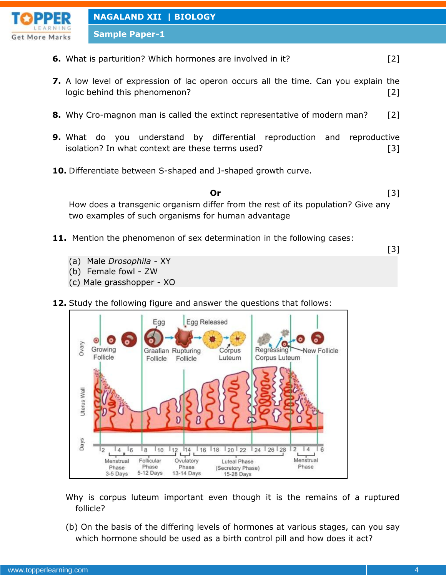

**Sample Paper-1**

- **6.** What is parturition? Which hormones are involved in it? [2]
- **7.** A low level of expression of lac operon occurs all the time. Can you explain the logic behind this phenomenon? [2]
- **8.** Why Cro-magnon man is called the extinct representative of modern man? [2]
- **9.** What do you understand by differential reproduction and reproductive isolation? In what context are these terms used? [3]
- **10.** Differentiate between S-shaped and J-shaped growth curve.

**Or** [3] How does a transgenic organism differ from the rest of its population? Give any two examples of such organisms for human advantage

- **11.** Mention the phenomenon of sex determination in the following cases:
	- (a) Male *Drosophila* XY
	- (b) Female fowl ZW
	- (c) Male grasshopper XO
- **12.** Study the following figure and answer the questions that follows:



- Why is corpus luteum important even though it is the remains of a ruptured follicle?
- (b) On the basis of the differing levels of hormones at various stages, can you say which hormone should be used as a birth control pill and how does it act?

[3]